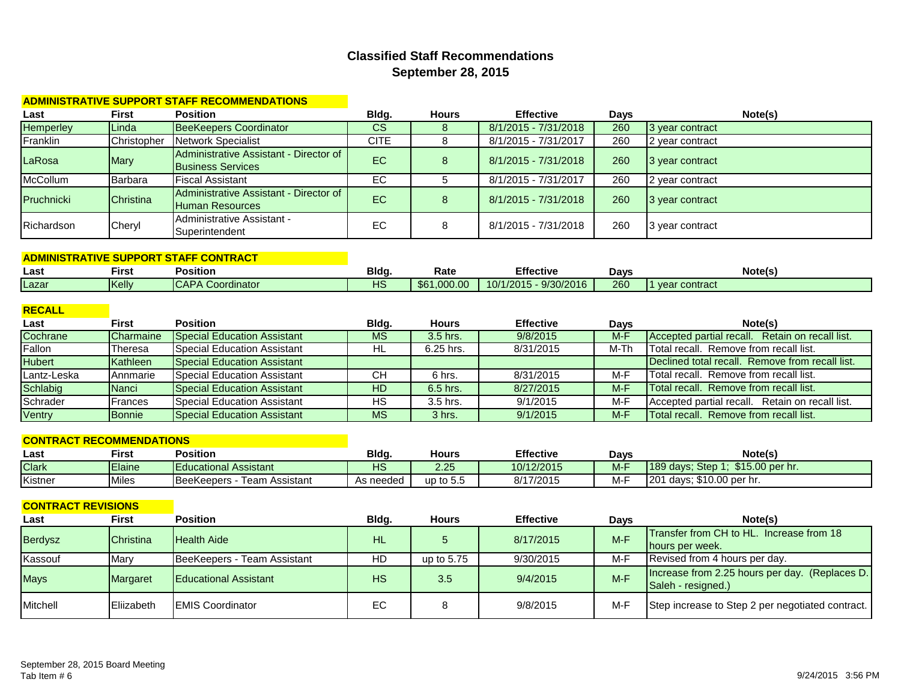## **Classified Staff Recommendations September 28, 2015**

#### **ADMINISTRATIVE SUPPORT STAFF RECOMMENDATIONS**

| Last              | <b>First</b>     | <b>Position</b>                                                    | Bldg.     | Hours | <b>Effective</b>     | Days | Note(s)         |
|-------------------|------------------|--------------------------------------------------------------------|-----------|-------|----------------------|------|-----------------|
| <b>Hemperley</b>  | Linda            | <b>BeeKeepers Coordinator</b>                                      | <b>CS</b> |       | 8/1/2015 - 7/31/2018 | 260  | 3 year contract |
| Franklin          | Christopher      | Network Specialist                                                 | CITE      |       | 8/1/2015 - 7/31/2017 | 260  | 2 year contract |
| LaRosa            | Mary             | Administrative Assistant - Director of<br><b>Business Services</b> | EC        |       | 8/1/2015 - 7/31/2018 | 260  | 3 year contract |
| McCollum          | Barbara          | <b>Fiscal Assistant</b>                                            | EC        |       | 8/1/2015 - 7/31/2017 | 260  | 2 year contract |
| <b>Pruchnicki</b> | <b>Christina</b> | Administrative Assistant - Director of<br><b>Human Resources</b>   | EC        |       | 8/1/2015 - 7/31/2018 | 260  | 3 year contract |
| Richardson        | Cheryl           | Administrative Assistant -<br>Superintendent                       | EC        |       | 8/1/2015 - 7/31/2018 | 260  | 3 year contract |

#### **ADMINISTRATIVE SUPPORT STAFF CONTRACT Last First Position Bldg. Rate Effective Days Note(s)** Lazar | Kelly | CAPA Coordinator | HS | \$61,000.00 | 10/1/2015 - 9/30/2016 | 260 | 1 year contract

#### **RECALL**

| Last          | First         | <b>Position</b>                      | Blda.     | <b>Hours</b> | <b>Effective</b> | Days  | Note(s)                                                   |
|---------------|---------------|--------------------------------------|-----------|--------------|------------------|-------|-----------------------------------------------------------|
| Cochrane      | Charmaine     | <b>Special Education Assistant</b>   | <b>MS</b> | 3.5 hrs.     | 9/8/2015         | $M-F$ | Retain on recall list.<br><b>Accepted partial recall.</b> |
| Fallon        | Theresa       | <b>Special Education Assistant</b>   | HL        | $6.25$ hrs.  | 8/31/2015        | M-Th  | Total recall. Remove from recall list.                    |
| <b>Hubert</b> | Kathleen      | <b>Special Education Assistant</b>   |           |              |                  |       | Declined total recall. Remove from recall list.           |
| Lantz-Leska   | Annmarie      | Special Education Assistant          | CН        | 6 hrs.       | 8/31/2015        | M-F   | <b>Total recall.</b> Remove from recall list.             |
| Schlabig      | Nanci         | <b>S</b> pecial Education Assistant  | HD        | $6.5$ hrs.   | 8/27/2015        | $M-F$ | Total recall. Remove from recall list.                    |
| Schrader      | Frances       | <b>Special Education Assistant</b>   | НS        | 3.5 hrs.     | 9/1/2015         | M-F   | Accepted partial recall. Retain on recall list.           |
| Ventry        | <b>Bonnie</b> | <b>I</b> Special Education Assistant | <b>MS</b> | 3 hrs.       | 9/1/2015         | $M-F$ | Total recall. Remove from recall list.                    |

#### **CONTRACT RECOMMENDATIONS**

| Last         | <b>First</b>  | <b>Position</b>                           | Bldg.     | <b>Hours</b> | <b>Effective</b> | Davs  | Note(s)                           |
|--------------|---------------|-------------------------------------------|-----------|--------------|------------------|-------|-----------------------------------|
| <b>Clark</b> | <b>Elaine</b> | <b>IEducational Assistant</b>             | HS        | 2.25         | 10/12/2015       | $M-F$ | \$15,00 per hr.<br>189 days: Step |
| Kistner      | <b>Miles</b>  | <b>BeeKeepers</b><br>n Assistant<br>l eam | As needed | up to 5.5    | 8/17/2015        | M-F   | days; \$10.00 per hr.<br>120      |

| <b>CONTRACT REVISIONS</b> |                  |                              |           |              |                  |             |                                                  |
|---------------------------|------------------|------------------------------|-----------|--------------|------------------|-------------|--------------------------------------------------|
| Last                      | First            | <b>Position</b>              | Bldg.     | <b>Hours</b> | <b>Effective</b> | <b>Davs</b> | Note(s)                                          |
| <b>Berdysz</b>            | <b>Christina</b> | <b>Health Aide</b>           | <b>HL</b> |              | 8/17/2015        | $M-F$       | Transfer from CH to HL. Increase from 18         |
|                           |                  |                              |           |              |                  |             | hours per week.                                  |
| Kassouf                   | Mary             | BeeKeepers - Team Assistant  | HD        | up to 5.75   | 9/30/2015        | M-F         | Revised from 4 hours per day.                    |
| <b>Mays</b>               | Margaret         | <b>Educational Assistant</b> | <b>HS</b> | 3.5          | 9/4/2015         | $M-F$       | Increase from 2.25 hours per day. (Replaces D.   |
|                           |                  |                              |           |              |                  |             | Saleh - resigned.)                               |
| Mitchell                  | Eliizabeth       | <b>IEMIS Coordinator</b>     | EC        |              | 9/8/2015         | M-F         | Step increase to Step 2 per negotiated contract. |
|                           |                  |                              |           |              |                  |             |                                                  |